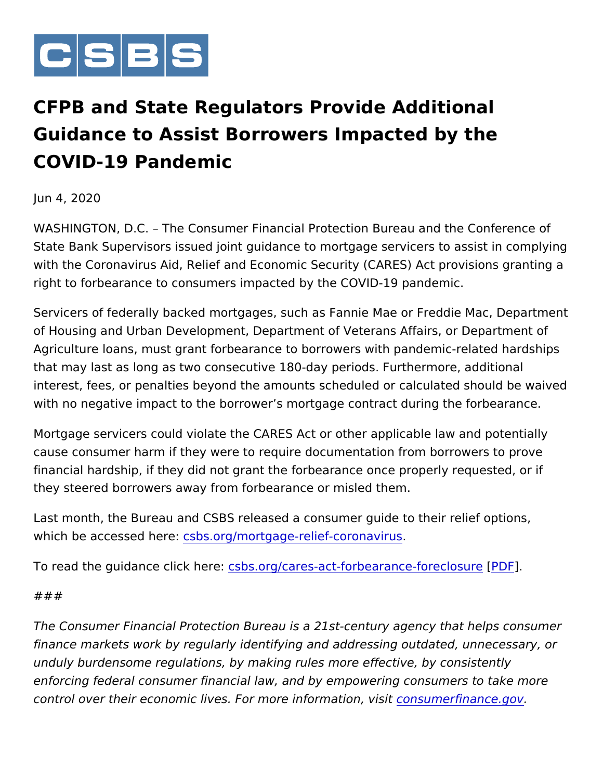

CFPB and State Regulators Provide Additiona Guidance to Assist Borrowers Impacted by the COVID-19 Pandemic

Jun 4, 2020

WASHINGTON, D.C. The Consumer Financial Protection Bureau an State Bank Supervisors issued joint guidance to mortgage servicers with the Coronavirus Aid, Relief and Economic Security (CARES) Ac right to forbearance to consumers impacted by the COVID-19 pandemic.

Servicers of federally backed mortgages, such as Fannie Mae or Fr of Housing and Urban Development, Department of Veterans Affairs Agriculture loans, must grant forbearance to borrowers with panden that may last as long as two consecutive 180-day periods. Furtherm interest, fees, or penalties beyond the amounts scheduled or calcul with no negative impact to the borrower s mortgage contract during

Mortgage servicers could violate the CARES Act or other applicable cause consumer harm if they were to require documentation from bo financial hardship, if they did not grant the forbearance once prope they steered borrowers away from forbearance or misled them.

Last month, the Bureau and CSBS released a consumer guide to the which be accessed sheereorg/mortgage-relief-coronavirus

To read the guidance clask shere/cares-act[-fo](http://www.csbs.org/CSBS-CFPB-Industry-Guide-Mortgage-Forbearance)rbearance $F$ for  $\overline{P}$ eclosure

## ###

The Consumer Financial Protection Bureau is a 21st-century agency finance markets work by regularly identifying and addressing outda unduly burdensome regulations, by making rules more effective, by enforcing federal consumer financial law, and by empowering consu control over their economic lives. For morecion fourmation anxiousitiov